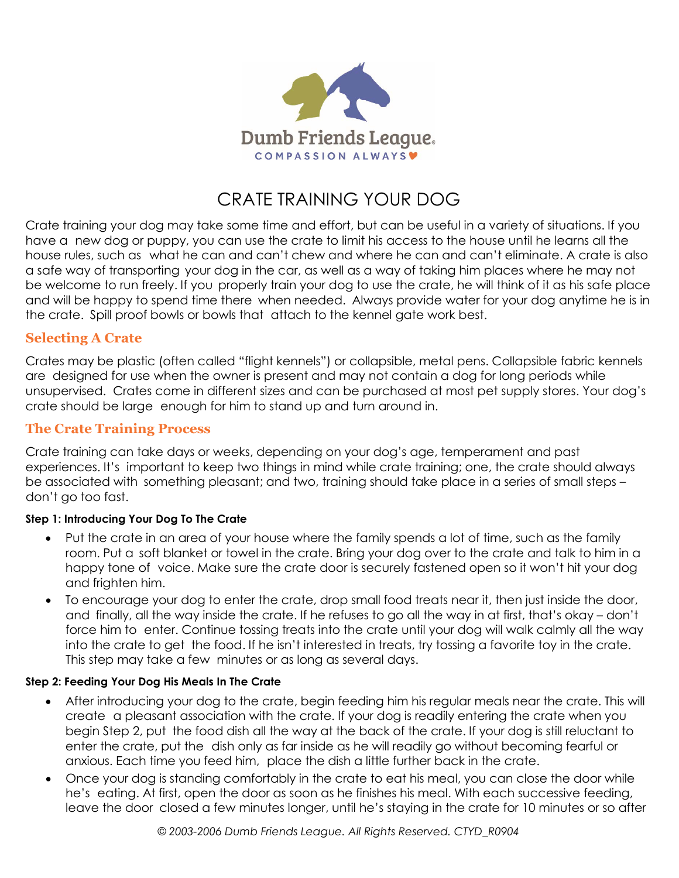

# CRATE TRAINING YOUR DOG

Crate training your dog may take some time and effort, but can be useful in a variety of situations. If you have a new dog or puppy, you can use the crate to limit his access to the house until he learns all the house rules, such as what he can and can't chew and where he can and can't eliminate. A crate is also a safe way of transporting your dog in the car, as well as a way of taking him places where he may not be welcome to run freely. If you properly train your dog to use the crate, he will think of it as his safe place and will be happy to spend time there when needed. Always provide water for your dog anytime he is in the crate. Spill proof bowls or bowls that attach to the kennel gate work best.

# **Selecting A Crate**

Crates may be plastic (often called "flight kennels") or collapsible, metal pens. Collapsible fabric kennels are designed for use when the owner is present and may not contain a dog for long periods while unsupervised. Crates come in different sizes and can be purchased at most pet supply stores. Your dog's crate should be large enough for him to stand up and turn around in.

# **The Crate Training Process**

Crate training can take days or weeks, depending on your dog's age, temperament and past experiences. It's important to keep two things in mind while crate training; one, the crate should always be associated with something pleasant; and two, training should take place in a series of small steps – don't go too fast.

#### **Step 1: Introducing Your Dog To The Crate**

- Put the crate in an area of your house where the family spends a lot of time, such as the family room. Put a soft blanket or towel in the crate. Bring your dog over to the crate and talk to him in a happy tone of voice. Make sure the crate door is securely fastened open so it won't hit your dog and frighten him.
- To encourage your dog to enter the crate, drop small food treats near it, then just inside the door, and finally, all the way inside the crate. If he refuses to go all the way in at first, that's okay – don't force him to enter. Continue tossing treats into the crate until your dog will walk calmly all the way into the crate to get the food. If he isn't interested in treats, try tossing a favorite toy in the crate. This step may take a few minutes or as long as several days.

#### **Step 2: Feeding Your Dog His Meals In The Crate**

- After introducing your dog to the crate, begin feeding him his regular meals near the crate. This will create a pleasant association with the crate. If your dog is readily entering the crate when you begin Step 2, put the food dish all the way at the back of the crate. If your dog is still reluctant to enter the crate, put the dish only as far inside as he will readily go without becoming fearful or anxious. Each time you feed him, place the dish a little further back in the crate.
- Once your dog is standing comfortably in the crate to eat his meal, you can close the door while he's eating. At first, open the door as soon as he finishes his meal. With each successive feeding, leave the door closed a few minutes longer, until he's staying in the crate for 10 minutes or so after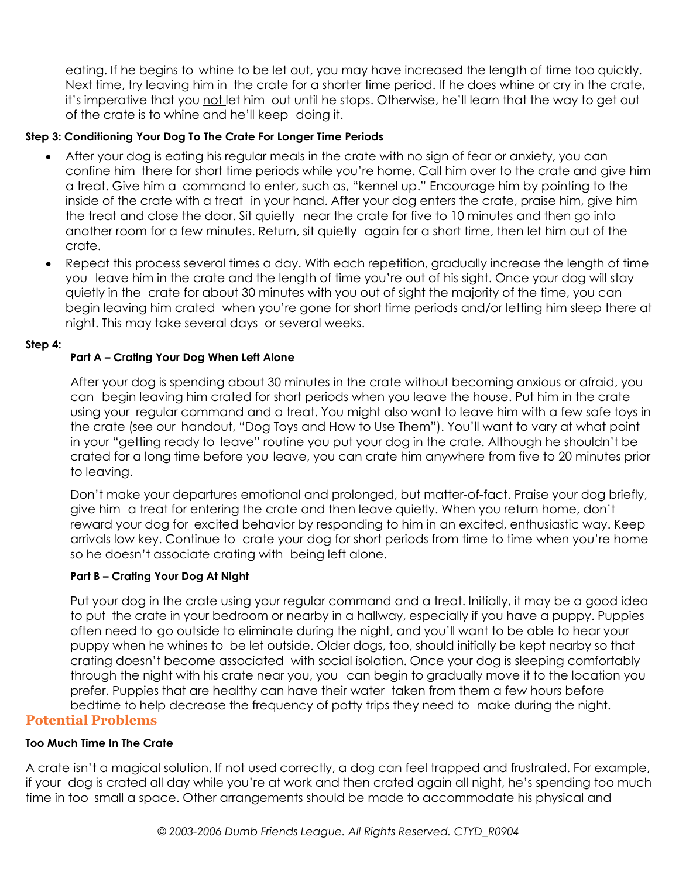eating. If he begins to whine to be let out, you may have increased the length of time too quickly. Next time, try leaving him in the crate for a shorter time period. If he does whine or cry in the crate, it's imperative that you not let him out until he stops. Otherwise, he'll learn that the way to get out of the crate is to whine and he'll keep doing it.

#### **Step 3: Conditioning Your Dog To The Crate For Longer Time Periods**

- After your dog is eating his regular meals in the crate with no sign of fear or anxiety, you can confine him there for short time periods while you're home. Call him over to the crate and give him a treat. Give him a command to enter, such as, "kennel up." Encourage him by pointing to the inside of the crate with a treat in your hand. After your dog enters the crate, praise him, give him the treat and close the door. Sit quietly near the crate for five to 10 minutes and then go into another room for a few minutes. Return, sit quietly again for a short time, then let him out of the crate.
- Repeat this process several times a day. With each repetition, gradually increase the length of time you leave him in the crate and the length of time you're out of his sight. Once your dog will stay quietly in the crate for about 30 minutes with you out of sight the majority of the time, you can begin leaving him crated when you're gone for short time periods and/or letting him sleep there at night. This may take several days or several weeks.

#### **Step 4:**

## **Part A – C**r**ating Your Dog When Left Alone**

After your dog is spending about 30 minutes in the crate without becoming anxious or afraid, you can begin leaving him crated for short periods when you leave the house. Put him in the crate using your regular command and a treat. You might also want to leave him with a few safe toys in the crate (see our handout, "Dog Toys and How to Use Them"). You'll want to vary at what point in your "getting ready to leave" routine you put your dog in the crate. Although he shouldn't be crated for a long time before you leave, you can crate him anywhere from five to 20 minutes prior to leaving.

Don't make your departures emotional and prolonged, but matter-of-fact. Praise your dog briefly, give him a treat for entering the crate and then leave quietly. When you return home, don't reward your dog for excited behavior by responding to him in an excited, enthusiastic way. Keep arrivals low key. Continue to crate your dog for short periods from time to time when you're home so he doesn't associate crating with being left alone.

## **Part B – Crating Your Dog At Night**

Put your dog in the crate using your regular command and a treat. Initially, it may be a good idea to put the crate in your bedroom or nearby in a hallway, especially if you have a puppy. Puppies often need to go outside to eliminate during the night, and you'll want to be able to hear your puppy when he whines to be let outside. Older dogs, too, should initially be kept nearby so that crating doesn't become associated with social isolation. Once your dog is sleeping comfortably through the night with his crate near you, you can begin to gradually move it to the location you prefer. Puppies that are healthy can have their water taken from them a few hours before bedtime to help decrease the frequency of potty trips they need to make during the night. **Potential Problems**

# **Too Much Time In The Crate**

A crate isn't a magical solution. If not used correctly, a dog can feel trapped and frustrated. For example, if your dog is crated all day while you're at work and then crated again all night, he's spending too much time in too small a space. Other arrangements should be made to accommodate his physical and